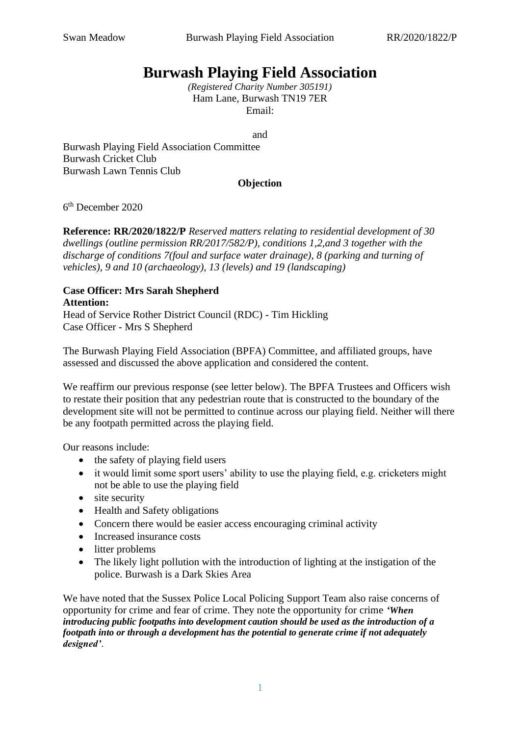## **Burwash Playing Field Association**

*(Registered Charity Number 305191)*  Ham Lane, Burwash TN19 7ER [Email:](mailto:swanmeadow2019@gmail.com) 

and

Burwash Playing Field Association Committee Burwash Cricket Club Burwash Lawn Tennis Club

## **Objection**

6 th December 2020

**Reference: RR/2020/1822/P** *Reserved matters relating to residential development of 30 dwellings (outline permission RR/2017/582/P), conditions 1,2,and 3 together with the discharge of conditions 7(foul and surface water drainage), 8 (parking and turning of vehicles), 9 and 10 (archaeology), 13 (levels) and 19 (landscaping)*

## **Case Officer: Mrs Sarah Shepherd Attention:**

Head of Service Rother District Council (RDC) - Tim Hickling Case Officer - Mrs S Shepherd

The Burwash Playing Field Association (BPFA) Committee, and affiliated groups, have assessed and discussed the above application and considered the content.

We reaffirm our previous response (see letter below). The BPFA Trustees and Officers wish to restate their position that any pedestrian route that is constructed to the boundary of the development site will not be permitted to continue across our playing field. Neither will there be any footpath permitted across the playing field.

Our reasons include:

- the safety of playing field users
- it would limit some sport users' ability to use the playing field, e.g. cricketers might not be able to use the playing field
- site security
- Health and Safety obligations
- Concern there would be easier access encouraging criminal activity
- Increased insurance costs
- litter problems
- The likely light pollution with the introduction of lighting at the instigation of the police. Burwash is a Dark Skies Area

We have noted that the Sussex Police Local Policing Support Team also raise concerns of opportunity for crime and fear of crime. They note the opportunity for crime *'When introducing public footpaths into development caution should be used as the introduction of a footpath into or through a development has the potential to generate crime if not adequately designed'*.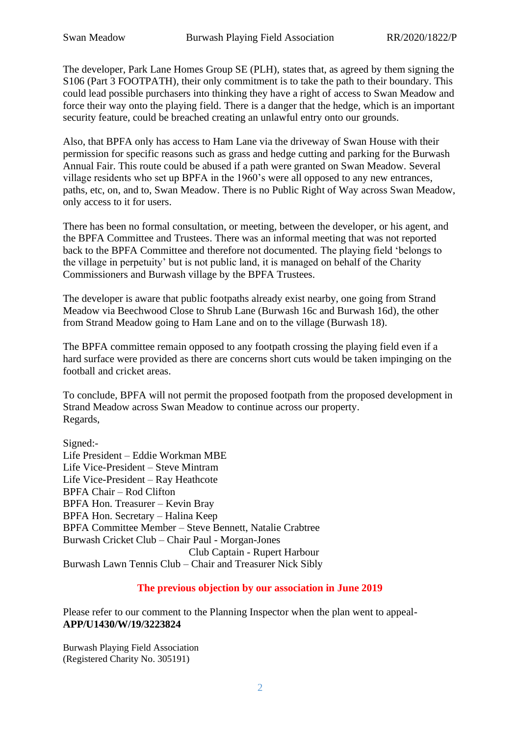The developer, Park Lane Homes Group SE (PLH), states that, as agreed by them signing the S106 (Part 3 FOOTPATH), their only commitment is to take the path to their boundary. This could lead possible purchasers into thinking they have a right of access to Swan Meadow and force their way onto the playing field. There is a danger that the hedge, which is an important security feature, could be breached creating an unlawful entry onto our grounds.

Also, that BPFA only has access to Ham Lane via the driveway of Swan House with their permission for specific reasons such as grass and hedge cutting and parking for the Burwash Annual Fair. This route could be abused if a path were granted on Swan Meadow. Several village residents who set up BPFA in the 1960's were all opposed to any new entrances, paths, etc, on, and to, Swan Meadow. There is no Public Right of Way across Swan Meadow, only access to it for users.

There has been no formal consultation, or meeting, between the developer, or his agent, and the BPFA Committee and Trustees. There was an informal meeting that was not reported back to the BPFA Committee and therefore not documented. The playing field 'belongs to the village in perpetuity' but is not public land, it is managed on behalf of the Charity Commissioners and Burwash village by the BPFA Trustees.

The developer is aware that public footpaths already exist nearby, one going from Strand Meadow via Beechwood Close to Shrub Lane (Burwash 16c and Burwash 16d), the other from Strand Meadow going to Ham Lane and on to the village (Burwash 18).

The BPFA committee remain opposed to any footpath crossing the playing field even if a hard surface were provided as there are concerns short cuts would be taken impinging on the football and cricket areas.

To conclude, BPFA will not permit the proposed footpath from the proposed development in Strand Meadow across Swan Meadow to continue across our property. Regards,

Signed:- Life President – Eddie Workman MBE Life Vice-President – Steve Mintram Life Vice-President – Ray Heathcote BPFA Chair – Rod Clifton BPFA Hon. Treasurer – Kevin Bray BPFA Hon. Secretary – Halina Keep BPFA Committee Member – Steve Bennett, Natalie Crabtree Burwash Cricket Club – Chair Paul - Morgan-Jones Club Captain - Rupert Harbour Burwash Lawn Tennis Club – Chair and Treasurer Nick Sibly

## **The previous objection by our association in June 2019**

Please refer to our comment to the Planning Inspector when the plan went to appeal-**APP/U1430/W/19/3223824**

Burwash Playing Field Association (Registered Charity No. 305191)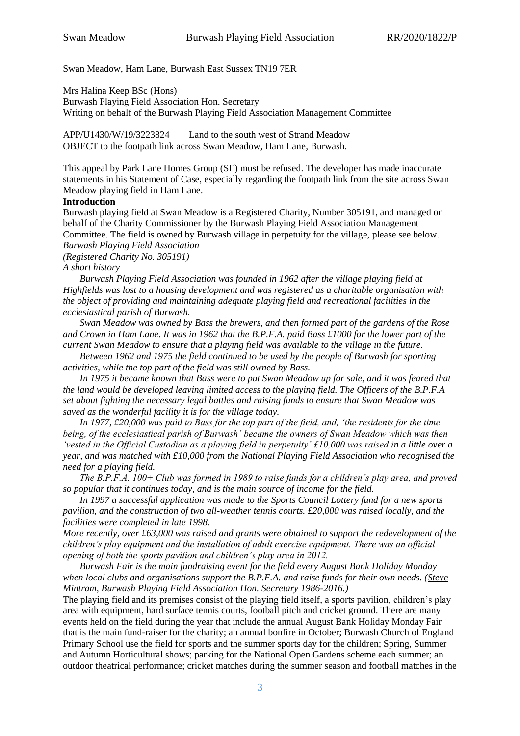Swan Meadow, Ham Lane, Burwash East Sussex TN19 7ER

Mrs Halina Keep BSc (Hons)

Burwash Playing Field Association Hon. Secretary Writing on behalf of the Burwash Playing Field Association Management Committee

APP/U1430/W/19/3223824 Land to the south west of Strand Meadow OBJECT to the footpath link across Swan Meadow, Ham Lane, Burwash.

This appeal by Park Lane Homes Group (SE) must be refused. The developer has made inaccurate statements in his Statement of Case, especially regarding the footpath link from the site across Swan Meadow playing field in Ham Lane.

#### **Introduction**

Burwash playing field at Swan Meadow is a Registered Charity, Number 305191, and managed on behalf of the Charity Commissioner by the Burwash Playing Field Association Management Committee. The field is owned by Burwash village in perpetuity for the village, please see below. *Burwash Playing Field Association*

*(Registered Charity No. 305191)*

#### *A short history*

 *Burwash Playing Field Association was founded in 1962 after the village playing field at Highfields was lost to a housing development and was registered as a charitable organisation with the object of providing and maintaining adequate playing field and recreational facilities in the ecclesiastical parish of Burwash.*

 *Swan Meadow was owned by Bass the brewers, and then formed part of the gardens of the Rose and Crown in Ham Lane. It was in 1962 that the B.P.F.A. paid Bass £1000 for the lower part of the current Swan Meadow to ensure that a playing field was available to the village in the future.*

 *Between 1962 and 1975 the field continued to be used by the people of Burwash for sporting activities, while the top part of the field was still owned by Bass.*

 *In 1975 it became known that Bass were to put Swan Meadow up for sale, and it was feared that the land would be developed leaving limited access to the playing field. The Officers of the B.P.F.A set about fighting the necessary legal battles and raising funds to ensure that Swan Meadow was saved as the wonderful facility it is for the village today.*

 *In 1977, £20,000 was paid to Bass for the top part of the field, and, 'the residents for the time being, of the ecclesiastical parish of Burwash' became the owners of Swan Meadow which was then 'vested in the Official Custodian as a playing field in perpetuity' £10,000 was raised in a little over a year, and was matched with £10,000 from the National Playing Field Association who recognised the need for a playing field.*

 *The B.P.F.A. 100+ Club was formed in 1989 to raise funds for a children's play area, and proved so popular that it continues today, and is the main source of income for the field.*

 *In 1997 a successful application was made to the Sports Council Lottery fund for a new sports pavilion, and the construction of two all-weather tennis courts. £20,000 was raised locally, and the facilities were completed in late 1998.*

*More recently, over £63,000 was raised and grants were obtained to support the redevelopment of the children's play equipment and the installation of adult exercise equipment. There was an official opening of both the sports pavilion and children's play area in 2012.* 

 *Burwash Fair is the main fundraising event for the field every August Bank Holiday Monday when local clubs and organisations support the B.P.F.A. and raise funds for their own needs. (Steve Mintram, Burwash Playing Field Association Hon. Secretary 1986-2016.)*

The playing field and its premises consist of the playing field itself, a sports pavilion, children's play area with equipment, hard surface tennis courts, football pitch and cricket ground. There are many events held on the field during the year that include the annual August Bank Holiday Monday Fair that is the main fund-raiser for the charity; an annual bonfire in October; Burwash Church of England Primary School use the field for sports and the summer sports day for the children; Spring, Summer and Autumn Horticultural shows; parking for the National Open Gardens scheme each summer; an outdoor theatrical performance; cricket matches during the summer season and football matches in the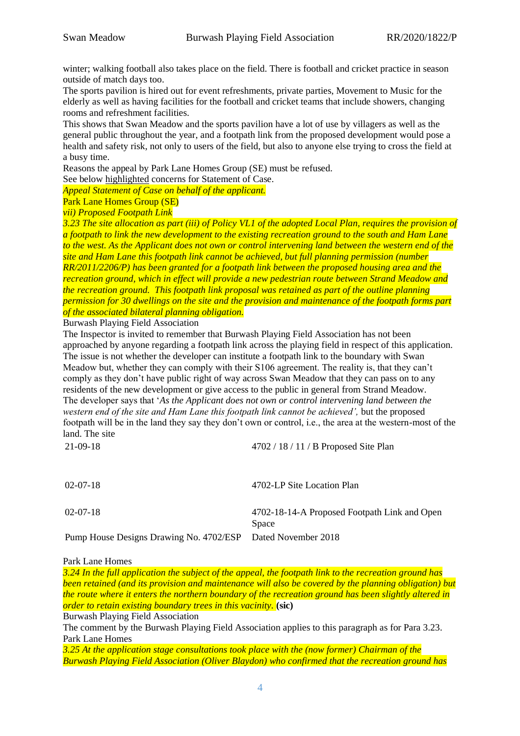winter; walking football also takes place on the field. There is football and cricket practice in season outside of match days too.

The sports pavilion is hired out for event refreshments, private parties, Movement to Music for the elderly as well as having facilities for the football and cricket teams that include showers, changing rooms and refreshment facilities.

This shows that Swan Meadow and the sports pavilion have a lot of use by villagers as well as the general public throughout the year, and a footpath link from the proposed development would pose a health and safety risk, not only to users of the field, but also to anyone else trying to cross the field at a busy time.

Reasons the appeal by Park Lane Homes Group (SE) must be refused.

See below highlighted concerns for Statement of Case.

*Appeal Statement of Case on behalf of the applicant.*

Park Lane Homes Group (SE)

*vii) Proposed Footpath Link* 

*3.23 The site allocation as part (iii) of Policy VL1 of the adopted Local Plan, requires the provision of a footpath to link the new development to the existing recreation ground to the south and Ham Lane to the west. As the Applicant does not own or control intervening land between the western end of the site and Ham Lane this footpath link cannot be achieved, but full planning permission (number RR/2011/2206/P) has been granted for a footpath link between the proposed housing area and the recreation ground, which in effect will provide a new pedestrian route between Strand Meadow and the recreation ground. This footpath link proposal was retained as part of the outline planning permission for 30 dwellings on the site and the provision and maintenance of the footpath forms part of the associated bilateral planning obligation.*

Burwash Playing Field Association

The Inspector is invited to remember that Burwash Playing Field Association has not been approached by anyone regarding a footpath link across the playing field in respect of this application. The issue is not whether the developer can institute a footpath link to the boundary with Swan Meadow but, whether they can comply with their S106 agreement. The reality is, that they can't comply as they don't have public right of way across Swan Meadow that they can pass on to any residents of the new development or give access to the public in general from Strand Meadow. The developer says that '*As the Applicant does not own or control intervening land between the western end of the site and Ham Lane this footpath link cannot be achieved',* but the proposed footpath will be in the land they say they don't own or control, i.e., the area at the western-most of the land. The site<br> $21,00,18$  $2702/19/11$  / B Proposed Site Pl

| 21-09-18       | $4/02/18/11/ B$ Proposed Site Pian |
|----------------|------------------------------------|
| $02 - 07 - 18$ | 4702-LP Site Location Plan         |

Pump House Designs Drawing No. 4702/ESP Dated November 2018

02-07-18 4702-18-14-A Proposed Footpath Link and Open Space

#### Park Lane Homes

*3.24 In the full application the subject of the appeal, the footpath link to the recreation ground has been retained (and its provision and maintenance will also be covered by the planning obligation) but the route where it enters the northern boundary of the recreation ground has been slightly altered in order to retain existing boundary trees in this vacinity.* **(sic)**

Burwash Playing Field Association

The comment by the Burwash Playing Field Association applies to this paragraph as for Para 3.23. Park Lane Homes

*3.25 At the application stage consultations took place with the (now former) Chairman of the Burwash Playing Field Association (Oliver Blaydon) who confirmed that the recreation ground has*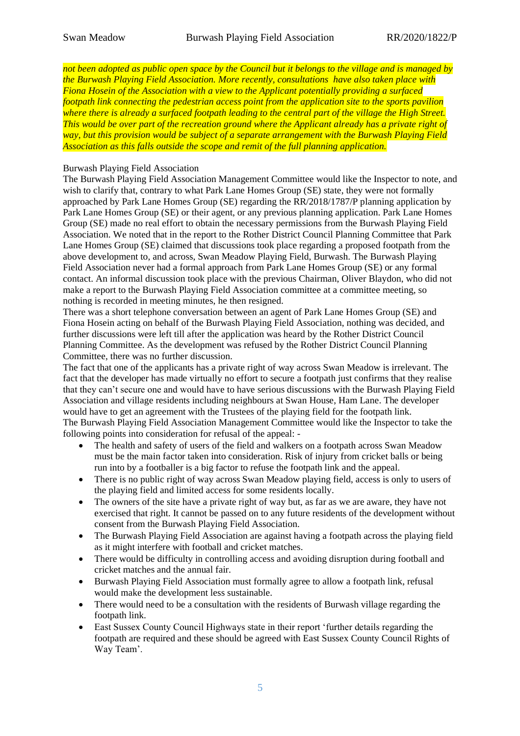*not been adopted as public open space by the Council but it belongs to the village and is managed by the Burwash Playing Field Association. More recently, consultations have also taken place with Fiona Hosein of the Association with a view to the Applicant potentially providing a surfaced footpath link connecting the pedestrian access point from the application site to the sports pavilion where there is already a surfaced footpath leading to the central part of the village the High Street. This would be over part of the recreation ground where the Applicant already has a private right of way, but this provision would be subject of a separate arrangement with the Burwash Playing Field Association as this falls outside the scope and remit of the full planning application.*

### Burwash Playing Field Association

The Burwash Playing Field Association Management Committee would like the Inspector to note, and wish to clarify that, contrary to what Park Lane Homes Group (SE) state, they were not formally approached by Park Lane Homes Group (SE) regarding the RR/2018/1787/P planning application by Park Lane Homes Group (SE) or their agent, or any previous planning application. Park Lane Homes Group (SE) made no real effort to obtain the necessary permissions from the Burwash Playing Field Association. We noted that in the report to the Rother District Council Planning Committee that Park Lane Homes Group (SE) claimed that discussions took place regarding a proposed footpath from the above development to, and across, Swan Meadow Playing Field, Burwash. The Burwash Playing Field Association never had a formal approach from Park Lane Homes Group (SE) or any formal contact. An informal discussion took place with the previous Chairman, Oliver Blaydon, who did not make a report to the Burwash Playing Field Association committee at a committee meeting, so nothing is recorded in meeting minutes, he then resigned.

There was a short telephone conversation between an agent of Park Lane Homes Group (SE) and Fiona Hosein acting on behalf of the Burwash Playing Field Association, nothing was decided, and further discussions were left till after the application was heard by the Rother District Council Planning Committee. As the development was refused by the Rother District Council Planning Committee, there was no further discussion.

The fact that one of the applicants has a private right of way across Swan Meadow is irrelevant. The fact that the developer has made virtually no effort to secure a footpath just confirms that they realise that they can't secure one and would have to have serious discussions with the Burwash Playing Field Association and village residents including neighbours at Swan House, Ham Lane. The developer would have to get an agreement with the Trustees of the playing field for the footpath link. The Burwash Playing Field Association Management Committee would like the Inspector to take the following points into consideration for refusal of the appeal: -

- The health and safety of users of the field and walkers on a footpath across Swan Meadow must be the main factor taken into consideration. Risk of injury from cricket balls or being run into by a footballer is a big factor to refuse the footpath link and the appeal.
- There is no public right of way across Swan Meadow playing field, access is only to users of the playing field and limited access for some residents locally.
- The owners of the site have a private right of way but, as far as we are aware, they have not exercised that right. It cannot be passed on to any future residents of the development without consent from the Burwash Playing Field Association.
- The Burwash Playing Field Association are against having a footpath across the playing field as it might interfere with football and cricket matches.
- There would be difficulty in controlling access and avoiding disruption during football and cricket matches and the annual fair.
- Burwash Playing Field Association must formally agree to allow a footpath link, refusal would make the development less sustainable.
- There would need to be a consultation with the residents of Burwash village regarding the footpath link.
- East Sussex County Council Highways state in their report 'further details regarding the footpath are required and these should be agreed with East Sussex County Council Rights of Way Team'.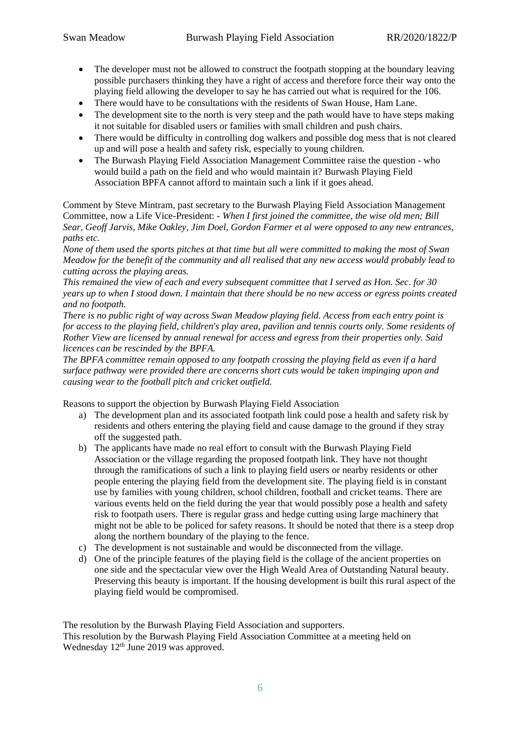- The developer must not be allowed to construct the footpath stopping at the boundary leaving possible purchasers thinking they have a right of access and therefore force their way onto the playing field allowing the developer to say he has carried out what is required for the 106.
- There would have to be consultations with the residents of Swan House, Ham Lane.
- The development site to the north is very steep and the path would have to have steps making it not suitable for disabled users or families with small children and push chairs.
- There would be difficulty in controlling dog walkers and possible dog mess that is not cleared up and will pose a health and safety risk, especially to young children.
- The Burwash Playing Field Association Management Committee raise the question who would build a path on the field and who would maintain it? Burwash Playing Field Association BPFA cannot afford to maintain such a link if it goes ahead.

Comment by Steve Mintram, past secretary to the Burwash Playing Field Association Management Committee, now a Life Vice-President: - *When I first joined the committee, the wise old men; Bill Sear, Geoff Jarvis, Mike Oakley, Jim Doel, Gordon Farmer et al were opposed to any new entrances, paths etc.*

*None of them used the sports pitches at that time but all were committed to making the most of Swan Meadow for the benefit of the community and all realised that any new access would probably lead to cutting across the playing areas.*

*This remained the view of each and every subsequent committee that I served as Hon. Sec. for 30 years up to when I stood down. I maintain that there should be no new access or egress points created and no footpath.*

*There is no public right of way across Swan Meadow playing field. Access from each entry point is for access to the playing field, children's play area, pavilion and tennis courts only. Some residents of Rother View are licensed by annual renewal for access and egress from their properties only. Said licences can be rescinded by the BPFA.*

*The BPFA committee remain opposed to any footpath crossing the playing field as even if a hard surface pathway were provided there are concerns short cuts would be taken impinging upon and causing wear to the football pitch and cricket outfield.*

Reasons to support the objection by Burwash Playing Field Association

- a) The development plan and its associated footpath link could pose a health and safety risk by residents and others entering the playing field and cause damage to the ground if they stray off the suggested path.
- b) The applicants have made no real effort to consult with the Burwash Playing Field Association or the village regarding the proposed footpath link. They have not thought through the ramifications of such a link to playing field users or nearby residents or other people entering the playing field from the development site. The playing field is in constant use by families with young children, school children, football and cricket teams. There are various events held on the field during the year that would possibly pose a health and safety risk to footpath users. There is regular grass and hedge cutting using large machinery that might not be able to be policed for safety reasons. It should be noted that there is a steep drop along the northern boundary of the playing to the fence.
- c) The development is not sustainable and would be disconnected from the village.
- d) One of the principle features of the playing field is the collage of the ancient properties on one side and the spectacular view over the High Weald Area of Outstanding Natural beauty. Preserving this beauty is important. If the housing development is built this rural aspect of the playing field would be compromised.

The resolution by the Burwash Playing Field Association and supporters. This resolution by the Burwash Playing Field Association Committee at a meeting held on Wednesday  $12<sup>th</sup>$  June 2019 was approved.